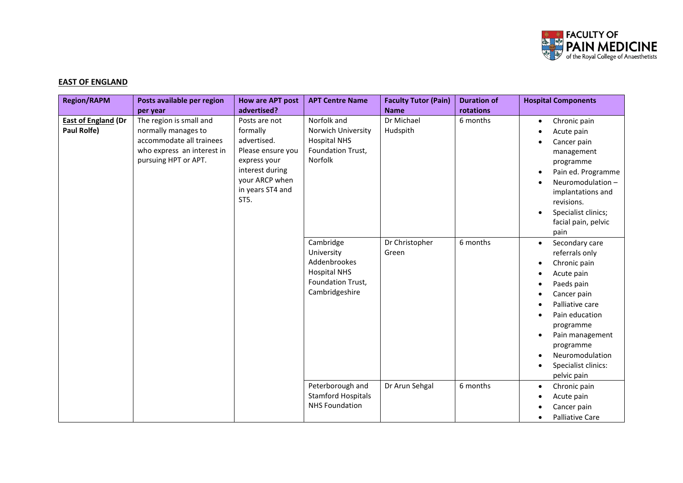

## **EAST OF ENGLAND**

| <b>Region/RAPM</b>                        | Posts available per region<br>per year                                                                                           | <b>How are APT post</b><br>advertised?                                                                                                         | <b>APT Centre Name</b>                                                                                | <b>Faculty Tutor (Pain)</b><br><b>Name</b> | <b>Duration of</b><br>rotations | <b>Hospital Components</b>                                                                                                                                                                                                                                                                 |
|-------------------------------------------|----------------------------------------------------------------------------------------------------------------------------------|------------------------------------------------------------------------------------------------------------------------------------------------|-------------------------------------------------------------------------------------------------------|--------------------------------------------|---------------------------------|--------------------------------------------------------------------------------------------------------------------------------------------------------------------------------------------------------------------------------------------------------------------------------------------|
| <b>East of England (Dr</b><br>Paul Rolfe) | The region is small and<br>normally manages to<br>accommodate all trainees<br>who express an interest in<br>pursuing HPT or APT. | Posts are not<br>formally<br>advertised.<br>Please ensure you<br>express your<br>interest during<br>your ARCP when<br>in years ST4 and<br>ST5. | Norfolk and<br>Norwich University<br><b>Hospital NHS</b><br>Foundation Trust,<br>Norfolk              | Dr Michael<br>Hudspith                     | 6 months                        | Chronic pain<br>$\bullet$<br>Acute pain<br>Cancer pain<br>management<br>programme<br>Pain ed. Programme<br>Neuromodulation -<br>implantations and<br>revisions.<br>Specialist clinics;<br>facial pain, pelvic<br>pain                                                                      |
|                                           |                                                                                                                                  |                                                                                                                                                | Cambridge<br>University<br>Addenbrookes<br><b>Hospital NHS</b><br>Foundation Trust,<br>Cambridgeshire | Dr Christopher<br>Green                    | 6 months                        | Secondary care<br>$\bullet$<br>referrals only<br>Chronic pain<br>$\bullet$<br>Acute pain<br>Paeds pain<br>Cancer pain<br>Palliative care<br>Pain education<br>programme<br>Pain management<br>$\bullet$<br>programme<br>Neuromodulation<br>$\bullet$<br>Specialist clinics:<br>pelvic pain |
|                                           |                                                                                                                                  |                                                                                                                                                | Peterborough and<br><b>Stamford Hospitals</b><br><b>NHS Foundation</b>                                | Dr Arun Sehgal                             | 6 months                        | Chronic pain<br>$\bullet$<br>Acute pain<br>Cancer pain<br><b>Palliative Care</b>                                                                                                                                                                                                           |